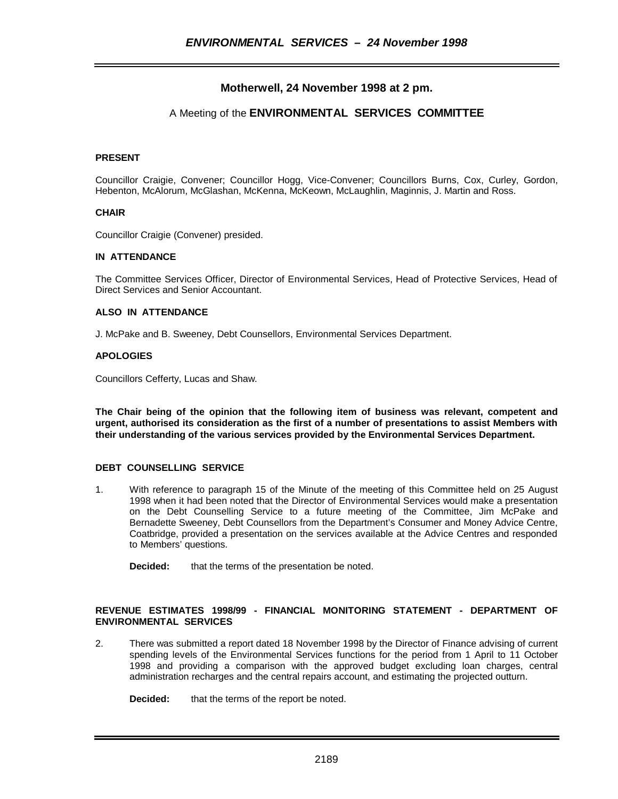# **Motherwell, 24 November 1998 at 2 pm.**

# A Meeting of the **ENVIRONMENTAL SERVICES COMMITTEE**

### **PRESENT**

Councillor Craigie, Convener; Councillor Hogg, Vice-Convener; Councillors Burns, Cox, Curley, Gordon, Hebenton, McAlorum, McGlashan, McKenna, McKeown, McLaughlin, Maginnis, J. Martin and Ross.

#### **CHAIR**

Councillor Craigie (Convener) presided.

### **IN ATTENDANCE**

The Committee Services Officer, Director of Environmental Services, Head of Protective Services, Head of Direct Services and Senior Accountant.

#### **ALSO IN ATTENDANCE**

J. McPake and B. Sweeney, Debt Counsellors, Environmental Services Department.

#### **APOLOGIES**

Councillors Cefferty, Lucas and Shaw.

**The Chair being of the opinion that the following item of business was relevant, competent and urgent, authorised its consideration as the first of a number of presentations to assist Members with their understanding of the various services provided by the Environmental Services Department.**

#### **DEBT COUNSELLING SERVICE**

1. With reference to paragraph 15 of the Minute of the meeting of this Committee held on 25 August 1998 when it had been noted that the Director of Environmental Services would make a presentation on the Debt Counselling Service to a future meeting of the Committee, Jim McPake and Bernadette Sweeney, Debt Counsellors from the Department's Consumer and Money Advice Centre, Coatbridge, provided a presentation on the services available at the Advice Centres and responded to Members' questions.

**Decided:** that the terms of the presentation be noted.

### **REVENUE ESTIMATES 1998/99 - FINANCIAL MONITORING STATEMENT - DEPARTMENT OF ENVIRONMENTAL SERVICES**

2. There was submitted a report dated 18 November 1998 by the Director of Finance advising of current spending levels of the Environmental Services functions for the period from 1 April to 11 October 1998 and providing a comparison with the approved budget excluding loan charges, central administration recharges and the central repairs account, and estimating the projected outturn.

**Decided:** that the terms of the report be noted.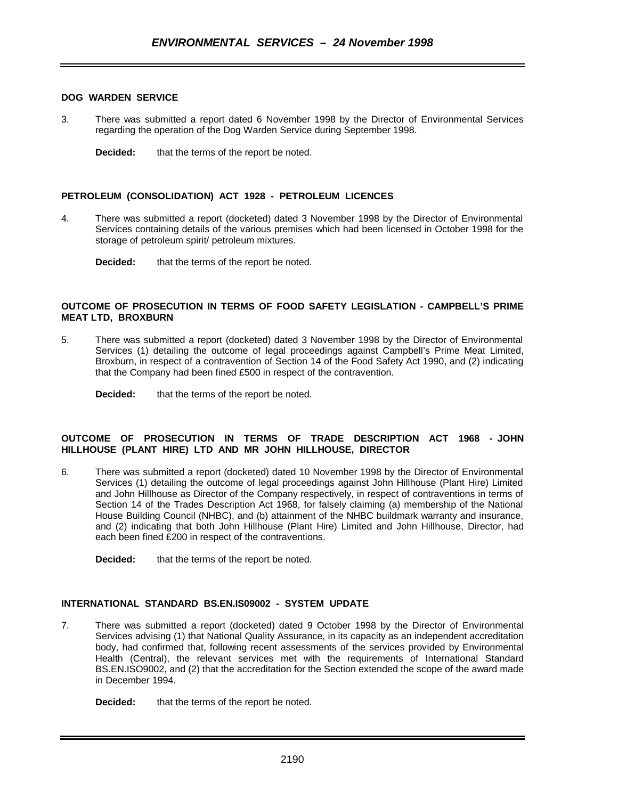### **DOG WARDEN SERVICE**

3. There was submitted a report dated 6 November 1998 by the Director of Environmental Services regarding the operation of the Dog Warden Service during September 1998.

**Decided:** that the terms of the report be noted.

### **PETROLEUM (CONSOLIDATION) ACT 1928 - PETROLEUM LICENCES**

- 4. There was submitted a report (docketed) dated 3 November 1998 by the Director of Environmental Services containing details of the various premises which had been licensed in October 1998 for the storage of petroleum spirit/ petroleum mixtures.
	- **Decided:** that the terms of the report be noted.

#### **OUTCOME OF PROSECUTION IN TERMS OF FOOD SAFETY LEGISLATION - CAMPBELL'S PRIME MEAT LTD, BROXBURN**

- 5. There was submitted a report (docketed) dated 3 November 1998 by the Director of Environmental Services (1) detailing the outcome of legal proceedings against Campbell's Prime Meat Limited, Broxburn, in respect of a contravention of Section 14 of the Food Safety Act 1990, and (2) indicating that the Company had been fined £500 in respect of the contravention.
	- **Decided:** that the terms of the report be noted.

### **OUTCOME OF PROSECUTION IN TERMS OF TRADE DESCRIPTION ACT 1968 - JOHN HILLHOUSE (PLANT HIRE) LTD AND MR JOHN HILLHOUSE, DIRECTOR**

- 6. There was submitted a report (docketed) dated 10 November 1998 by the Director of Environmental Services (1) detailing the outcome of legal proceedings against John Hillhouse (Plant Hire) Limited and John Hillhouse as Director of the Company respectively, in respect of contraventions in terms of Section 14 of the Trades Description Act 1968, for falsely claiming (a) membership of the National House Building Council (NHBC), and (b) attainment of the NHBC buildmark warranty and insurance, and (2) indicating that both John Hillhouse (Plant Hire) Limited and John Hillhouse, Director, had each been fined £200 in respect of the contraventions.
	- **Decided:** that the terms of the report be noted.

#### **INTERNATIONAL STANDARD BS.EN.IS09002 - SYSTEM UPDATE**

7. There was submitted a report (docketed) dated 9 October 1998 by the Director of Environmental Services advising (1) that National Quality Assurance, in its capacity as an independent accreditation body, had confirmed that, following recent assessments of the services provided by Environmental Health (Central), the relevant services met with the requirements of International Standard BS.EN.ISO9002, and (2) that the accreditation for the Section extended the scope of the award made in December 1994.

**Decided:** that the terms of the report be noted.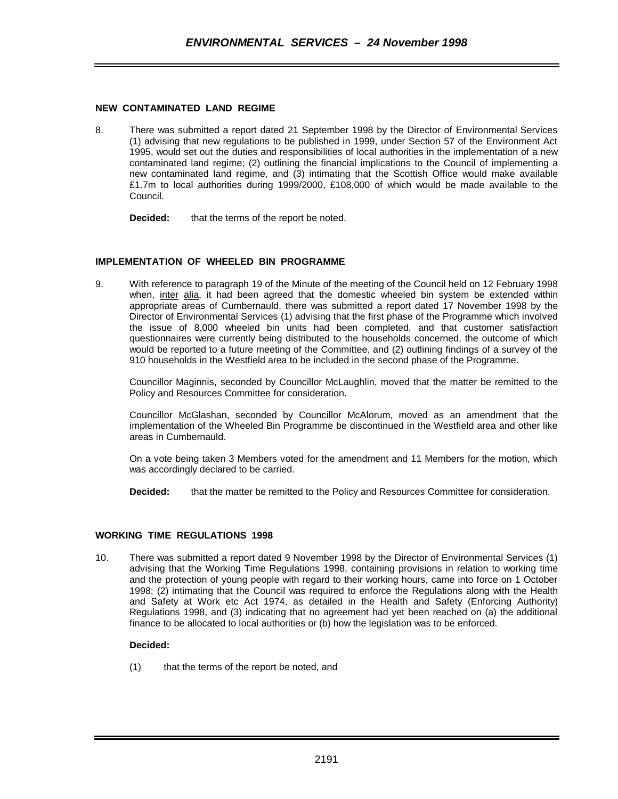### **NEW CONTAMINATED LAND REGIME**

8. There was submitted a report dated 21 September 1998 by the Director of Environmental Services (1) advising that new regulations to be published in 1999, under Section 57 of the Environment Act 1995, would set out the duties and responsibilities of local authorities in the implementation of a new contaminated land regime; (2) outlining the financial implications to the Council of implementing a new contaminated land regime, and (3) intimating that the Scottish Office would make available £1.7m to local authorities during 1999/2000, £108,000 of which would be made available to the Council.

**Decided:** that the terms of the report be noted.

### **IMPLEMENTATION OF WHEELED BIN PROGRAMME**

9. With reference to paragraph 19 of the Minute of the meeting of the Council held on 12 February 1998 when, inter alia, it had been agreed that the domestic wheeled bin system be extended within appropriate areas of Cumbernauld, there was submitted a report dated 17 November 1998 by the Director of Environmental Services (1) advising that the first phase of the Programme which involved the issue of 8,000 wheeled bin units had been completed, and that customer satisfaction questionnaires were currently being distributed to the households concerned, the outcome of which would be reported to a future meeting of the Committee, and (2) outlining findings of a survey of the 910 households in the Westfield area to be included in the second phase of the Programme.

Councillor Maginnis, seconded by Councillor McLaughlin, moved that the matter be remitted to the Policy and Resources Committee for consideration.

Councillor McGlashan, seconded by Councillor McAlorum, moved as an amendment that the implementation of the Wheeled Bin Programme be discontinued in the Westfield area and other like areas in Cumbernauld.

On a vote being taken 3 Members voted for the amendment and 11 Members for the motion, which was accordingly declared to be carried.

**Decided:** that the matter be remitted to the Policy and Resources Committee for consideration.

### **WORKING TIME REGULATIONS 1998**

10. There was submitted a report dated 9 November 1998 by the Director of Environmental Services (1) advising that the Working Time Regulations 1998, containing provisions in relation to working time and the protection of young people with regard to their working hours, came into force on 1 October 1998; (2) intimating that the Council was required to enforce the Regulations along with the Health and Safety at Work etc Act 1974, as detailed in the Health and Safety (Enforcing Authority) Regulations 1998, and (3) indicating that no agreement had yet been reached on (a) the additional finance to be allocated to local authorities or (b) how the legislation was to be enforced.

### **Decided:**

(1) that the terms of the report be noted, and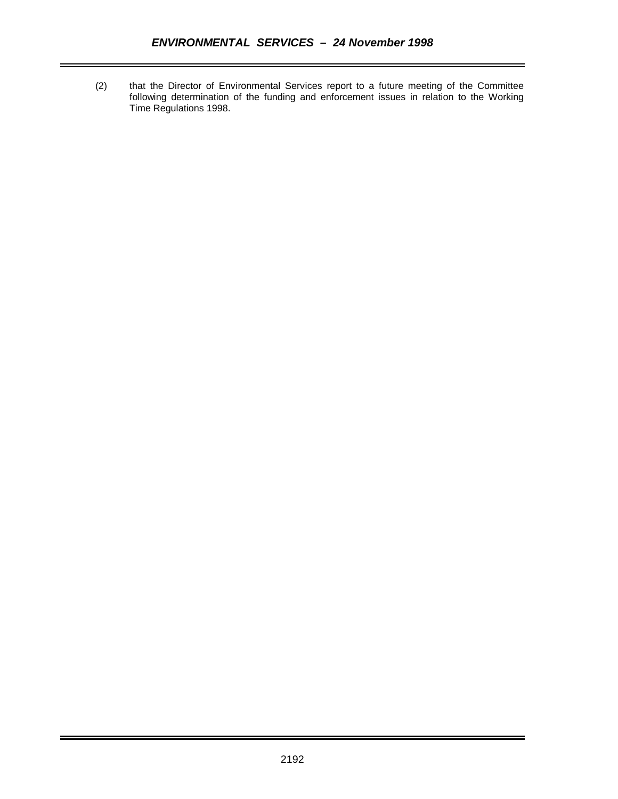(2) that the Director of Environmental Services report to a future meeting of the Committee following determination of the funding and enforcement issues in relation to the Working Time Regulations 1998.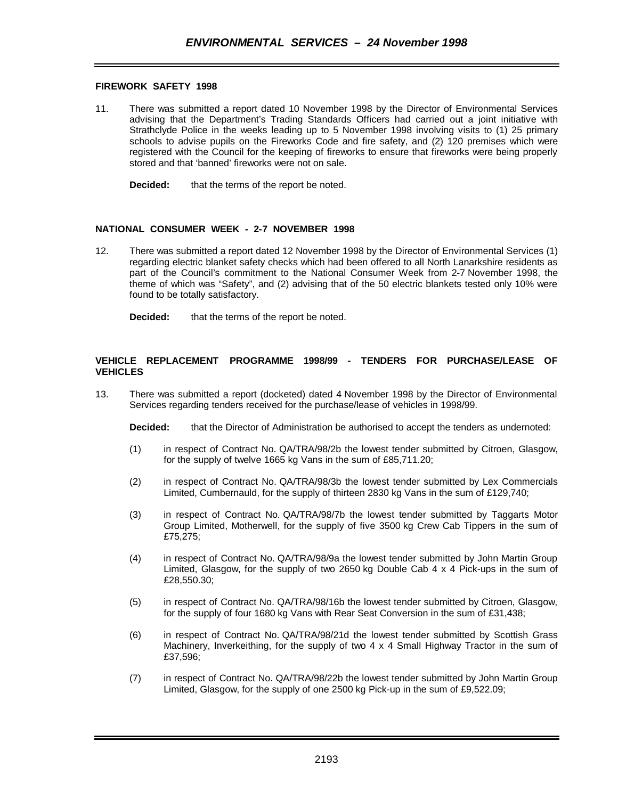### **FIREWORK SAFETY 1998**

11. There was submitted a report dated 10 November 1998 by the Director of Environmental Services advising that the Department's Trading Standards Officers had carried out a joint initiative with Strathclyde Police in the weeks leading up to 5 November 1998 involving visits to (1) 25 primary schools to advise pupils on the Fireworks Code and fire safety, and (2) 120 premises which were registered with the Council for the keeping of fireworks to ensure that fireworks were being properly stored and that 'banned' fireworks were not on sale.

**Decided:** that the terms of the report be noted.

### **NATIONAL CONSUMER WEEK - 2-7 NOVEMBER 1998**

12. There was submitted a report dated 12 November 1998 by the Director of Environmental Services (1) regarding electric blanket safety checks which had been offered to all North Lanarkshire residents as part of the Council's commitment to the National Consumer Week from 2-7 November 1998, the theme of which was "Safety", and (2) advising that of the 50 electric blankets tested only 10% were found to be totally satisfactory.

**Decided:** that the terms of the report be noted.

### **VEHICLE REPLACEMENT PROGRAMME 1998/99 - TENDERS FOR PURCHASE/LEASE OF VEHICLES**

13. There was submitted a report (docketed) dated 4 November 1998 by the Director of Environmental Services regarding tenders received for the purchase/lease of vehicles in 1998/99.

**Decided:** that the Director of Administration be authorised to accept the tenders as undernoted:

- (1) in respect of Contract No. QA/TRA/98/2b the lowest tender submitted by Citroen, Glasgow, for the supply of twelve 1665 kg Vans in the sum of £85,711.20;
- (2) in respect of Contract No. QA/TRA/98/3b the lowest tender submitted by Lex Commercials Limited, Cumbernauld, for the supply of thirteen 2830 kg Vans in the sum of £129,740;
- (3) in respect of Contract No. QA/TRA/98/7b the lowest tender submitted by Taggarts Motor Group Limited, Motherwell, for the supply of five 3500 kg Crew Cab Tippers in the sum of £75,275;
- (4) in respect of Contract No. QA/TRA/98/9a the lowest tender submitted by John Martin Group Limited, Glasgow, for the supply of two 2650 kg Double Cab 4 x 4 Pick-ups in the sum of £28,550.30;
- (5) in respect of Contract No. QA/TRA/98/16b the lowest tender submitted by Citroen, Glasgow, for the supply of four 1680 kg Vans with Rear Seat Conversion in the sum of £31,438;
- (6) in respect of Contract No. QA/TRA/98/21d the lowest tender submitted by Scottish Grass Machinery, Inverkeithing, for the supply of two  $4 \times 4$  Small Highway Tractor in the sum of £37,596;
- (7) in respect of Contract No. QA/TRA/98/22b the lowest tender submitted by John Martin Group Limited, Glasgow, for the supply of one 2500 kg Pick-up in the sum of £9,522.09;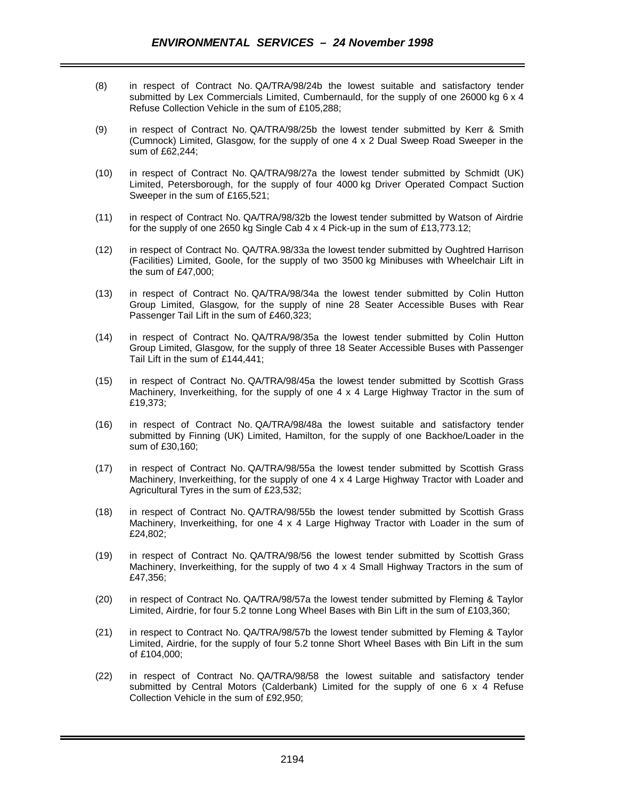- (8) in respect of Contract No. QA/TRA/98/24b the lowest suitable and satisfactory tender submitted by Lex Commercials Limited, Cumbernauld, for the supply of one 26000 kg 6 x 4 Refuse Collection Vehicle in the sum of £105,288;
- (9) in respect of Contract No. QA/TRA/98/25b the lowest tender submitted by Kerr & Smith (Cumnock) Limited, Glasgow, for the supply of one 4 x 2 Dual Sweep Road Sweeper in the sum of £62,244;
- (10) in respect of Contract No. QA/TRA/98/27a the lowest tender submitted by Schmidt (UK) Limited, Petersborough, for the supply of four 4000 kg Driver Operated Compact Suction Sweeper in the sum of £165,521;
- (11) in respect of Contract No. QA/TRA/98/32b the lowest tender submitted by Watson of Airdrie for the supply of one 2650 kg Single Cab 4 x 4 Pick-up in the sum of £13,773.12;
- (12) in respect of Contract No. QA/TRA.98/33a the lowest tender submitted by Oughtred Harrison (Facilities) Limited, Goole, for the supply of two 3500 kg Minibuses with Wheelchair Lift in the sum of £47,000;
- (13) in respect of Contract No. QA/TRA/98/34a the lowest tender submitted by Colin Hutton Group Limited, Glasgow, for the supply of nine 28 Seater Accessible Buses with Rear Passenger Tail Lift in the sum of £460,323;
- (14) in respect of Contract No. QA/TRA/98/35a the lowest tender submitted by Colin Hutton Group Limited, Glasgow, for the supply of three 18 Seater Accessible Buses with Passenger Tail Lift in the sum of £144,441;
- (15) in respect of Contract No. QA/TRA/98/45a the lowest tender submitted by Scottish Grass Machinery, Inverkeithing, for the supply of one 4 x 4 Large Highway Tractor in the sum of £19,373;
- (16) in respect of Contract No. QA/TRA/98/48a the lowest suitable and satisfactory tender submitted by Finning (UK) Limited, Hamilton, for the supply of one Backhoe/Loader in the sum of £30,160;
- (17) in respect of Contract No. QA/TRA/98/55a the lowest tender submitted by Scottish Grass Machinery, Inverkeithing, for the supply of one 4 x 4 Large Highway Tractor with Loader and Agricultural Tyres in the sum of £23,532;
- (18) in respect of Contract No. QA/TRA/98/55b the lowest tender submitted by Scottish Grass Machinery, Inverkeithing, for one 4 x 4 Large Highway Tractor with Loader in the sum of £24,802;
- (19) in respect of Contract No. QA/TRA/98/56 the lowest tender submitted by Scottish Grass Machinery, Inverkeithing, for the supply of two 4 x 4 Small Highway Tractors in the sum of £47,356;
- (20) in respect of Contract No. QA/TRA/98/57a the lowest tender submitted by Fleming & Taylor Limited, Airdrie, for four 5.2 tonne Long Wheel Bases with Bin Lift in the sum of £103,360;
- (21) in respect to Contract No. QA/TRA/98/57b the lowest tender submitted by Fleming & Taylor Limited, Airdrie, for the supply of four 5.2 tonne Short Wheel Bases with Bin Lift in the sum of £104,000;
- (22) in respect of Contract No. QA/TRA/98/58 the lowest suitable and satisfactory tender submitted by Central Motors (Calderbank) Limited for the supply of one 6 x 4 Refuse Collection Vehicle in the sum of £92,950;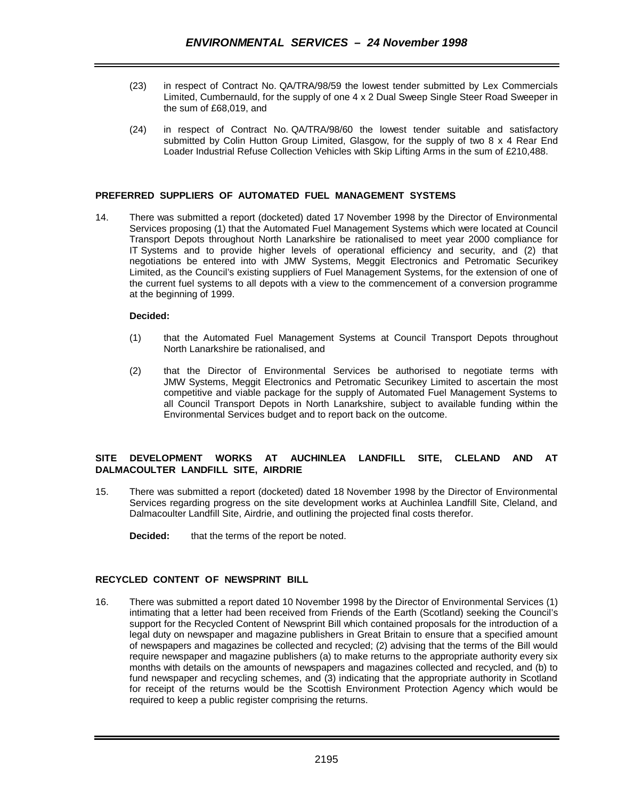- (23) in respect of Contract No. QA/TRA/98/59 the lowest tender submitted by Lex Commercials Limited, Cumbernauld, for the supply of one 4 x 2 Dual Sweep Single Steer Road Sweeper in the sum of £68,019, and
- (24) in respect of Contract No. QA/TRA/98/60 the lowest tender suitable and satisfactory submitted by Colin Hutton Group Limited, Glasgow, for the supply of two 8 x 4 Rear End Loader Industrial Refuse Collection Vehicles with Skip Lifting Arms in the sum of £210,488.

### **PREFERRED SUPPLIERS OF AUTOMATED FUEL MANAGEMENT SYSTEMS**

14. There was submitted a report (docketed) dated 17 November 1998 by the Director of Environmental Services proposing (1) that the Automated Fuel Management Systems which were located at Council Transport Depots throughout North Lanarkshire be rationalised to meet year 2000 compliance for IT Systems and to provide higher levels of operational efficiency and security, and (2) that negotiations be entered into with JMW Systems, Meggit Electronics and Petromatic Securikey Limited, as the Council's existing suppliers of Fuel Management Systems, for the extension of one of the current fuel systems to all depots with a view to the commencement of a conversion programme at the beginning of 1999.

### **Decided:**

- (1) that the Automated Fuel Management Systems at Council Transport Depots throughout North Lanarkshire be rationalised, and
- (2) that the Director of Environmental Services be authorised to negotiate terms with JMW Systems, Meggit Electronics and Petromatic Securikey Limited to ascertain the most competitive and viable package for the supply of Automated Fuel Management Systems to all Council Transport Depots in North Lanarkshire, subject to available funding within the Environmental Services budget and to report back on the outcome.

## **SITE DEVELOPMENT WORKS AT AUCHINLEA LANDFILL SITE, CLELAND AND AT DALMACOULTER LANDFILL SITE, AIRDRIE**

- 15. There was submitted a report (docketed) dated 18 November 1998 by the Director of Environmental Services regarding progress on the site development works at Auchinlea Landfill Site, Cleland, and Dalmacoulter Landfill Site, Airdrie, and outlining the projected final costs therefor.
	- **Decided:** that the terms of the report be noted.

### **RECYCLED CONTENT OF NEWSPRINT BILL**

16. There was submitted a report dated 10 November 1998 by the Director of Environmental Services (1) intimating that a letter had been received from Friends of the Earth (Scotland) seeking the Council's support for the Recycled Content of Newsprint Bill which contained proposals for the introduction of a legal duty on newspaper and magazine publishers in Great Britain to ensure that a specified amount of newspapers and magazines be collected and recycled; (2) advising that the terms of the Bill would require newspaper and magazine publishers (a) to make returns to the appropriate authority every six months with details on the amounts of newspapers and magazines collected and recycled, and (b) to fund newspaper and recycling schemes, and (3) indicating that the appropriate authority in Scotland for receipt of the returns would be the Scottish Environment Protection Agency which would be required to keep a public register comprising the returns.